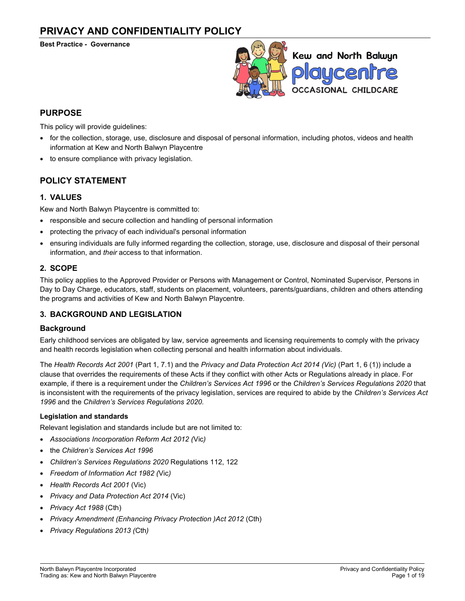# PRIVACY AND CONFIDENTIALITY POLICY

Best Practice - Governance



# PURPOSE

This policy will provide guidelines:

- for the collection, storage, use, disclosure and disposal of personal information, including photos, videos and health information at Kew and North Balwyn Playcentre
- to ensure compliance with privacy legislation.

# POLICY STATEMENT

# 1. VALUES

Kew and North Balwyn Playcentre is committed to:

- responsible and secure collection and handling of personal information
- protecting the privacy of each individual's personal information
- ensuring individuals are fully informed regarding the collection, storage, use, disclosure and disposal of their personal information, and their access to that information.

# 2. SCOPE

This policy applies to the Approved Provider or Persons with Management or Control, Nominated Supervisor, Persons in Day to Day Charge, educators, staff, students on placement, volunteers, parents/guardians, children and others attending the programs and activities of Kew and North Balwyn Playcentre.

# 3. BACKGROUND AND LEGISLATION

# **Background**

Early childhood services are obligated by law, service agreements and licensing requirements to comply with the privacy and health records legislation when collecting personal and health information about individuals.

The Health Records Act 2001 (Part 1, 7.1) and the Privacy and Data Protection Act 2014 (Vic) (Part 1, 6 (1)) include a clause that overrides the requirements of these Acts if they conflict with other Acts or Regulations already in place. For example, if there is a requirement under the Children's Services Act 1996 or the Children's Services Regulations 2020 that is inconsistent with the requirements of the privacy legislation, services are required to abide by the Children's Services Act 1996 and the Children's Services Regulations 2020.

## Legislation and standards

Relevant legislation and standards include but are not limited to:

- Associations Incorporation Reform Act 2012 (Vic)
- the Children's Services Act 1996
- Children's Services Regulations 2020 Regulations 112, 122
- Freedom of Information Act 1982 (Vic)
- Health Records Act 2001 (Vic)
- Privacy and Data Protection Act 2014 (Vic)
- Privacy Act 1988 (Cth)
- Privacy Amendment (Enhancing Privacy Protection )Act 2012 (Cth)
- Privacy Regulations 2013 (Cth)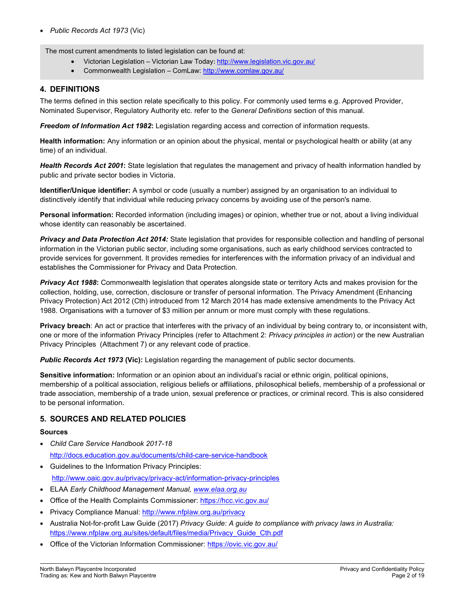The most current amendments to listed legislation can be found at:

- Victorian Legislation Victorian Law Today: http://www.legislation.vic.gov.au/
- Commonwealth Legislation ComLaw: http://www.comlaw.gov.au/

# 4. DEFINITIONS

The terms defined in this section relate specifically to this policy. For commonly used terms e.g. Approved Provider, Nominated Supervisor, Regulatory Authority etc. refer to the General Definitions section of this manual.

Freedom of Information Act 1982: Legislation regarding access and correction of information requests.

Health information: Any information or an opinion about the physical, mental or psychological health or ability (at any time) of an individual.

Health Records Act 2001: State legislation that regulates the management and privacy of health information handled by public and private sector bodies in Victoria.

Identifier/Unique identifier: A symbol or code (usually a number) assigned by an organisation to an individual to distinctively identify that individual while reducing privacy concerns by avoiding use of the person's name.

Personal information: Recorded information (including images) or opinion, whether true or not, about a living individual whose identity can reasonably be ascertained.

Privacy and Data Protection Act 2014: State legislation that provides for responsible collection and handling of personal information in the Victorian public sector, including some organisations, such as early childhood services contracted to provide services for government. It provides remedies for interferences with the information privacy of an individual and establishes the Commissioner for Privacy and Data Protection.

**Privacy Act 1988:** Commonwealth legislation that operates alongside state or territory Acts and makes provision for the collection, holding, use, correction, disclosure or transfer of personal information. The Privacy Amendment (Enhancing Privacy Protection) Act 2012 (Cth) introduced from 12 March 2014 has made extensive amendments to the Privacy Act 1988. Organisations with a turnover of \$3 million per annum or more must comply with these regulations.

Privacy breach: An act or practice that interferes with the privacy of an individual by being contrary to, or inconsistent with, one or more of the information Privacy Principles (refer to Attachment 2: Privacy principles in action) or the new Australian Privacy Principles (Attachment 7) or any relevant code of practice.

Public Records Act 1973 (Vic): Legislation regarding the management of public sector documents.

Sensitive information: Information or an opinion about an individual's racial or ethnic origin, political opinions, membership of a political association, religious beliefs or affiliations, philosophical beliefs, membership of a professional or trade association, membership of a trade union, sexual preference or practices, or criminal record. This is also considered to be personal information.

# 5. SOURCES AND RELATED POLICIES

## Sources

- Child Care Service Handbook 2017-18 http://docs.education.gov.au/documents/child-care-service-handbook
- Guidelines to the Information Privacy Principles: http://www.oaic.gov.au/privacy/privacy-act/information-privacy-principles
- **ELAA Early Childhood Management Manual, www.elaa.org.au**
- Office of the Health Complaints Commissioner: https://hcc.vic.gov.au/
- Privacy Compliance Manual: http://www.nfplaw.org.au/privacy
- Australia Not-for-profit Law Guide (2017) Privacy Guide: A guide to compliance with privacy laws in Australia: https://www.nfplaw.org.au/sites/default/files/media/Privacy\_Guide\_Cth.pdf
- Office of the Victorian Information Commissioner: https://ovic.vic.gov.au/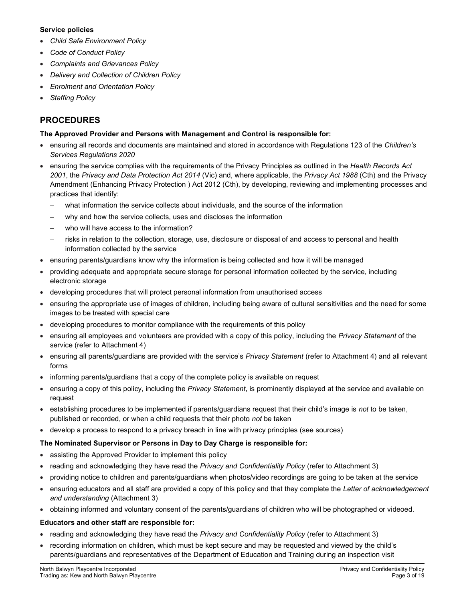# Service policies

- Child Safe Environment Policy
- Code of Conduct Policy
- Complaints and Grievances Policy
- Delivery and Collection of Children Policy
- Enrolment and Orientation Policy
- Staffing Policy

# PROCEDURES

# The Approved Provider and Persons with Management and Control is responsible for:

- ensuring all records and documents are maintained and stored in accordance with Regulations 123 of the Children's Services Regulations 2020
- ensuring the service complies with the requirements of the Privacy Principles as outlined in the Health Records Act 2001, the Privacy and Data Protection Act 2014 (Vic) and, where applicable, the Privacy Act 1988 (Cth) and the Privacy Amendment (Enhancing Privacy Protection ) Act 2012 (Cth), by developing, reviewing and implementing processes and practices that identify:
	- what information the service collects about individuals, and the source of the information
	- why and how the service collects, uses and discloses the information
	- who will have access to the information?
	- risks in relation to the collection, storage, use, disclosure or disposal of and access to personal and health information collected by the service
- ensuring parents/guardians know why the information is being collected and how it will be managed
- providing adequate and appropriate secure storage for personal information collected by the service, including electronic storage
- developing procedures that will protect personal information from unauthorised access
- ensuring the appropriate use of images of children, including being aware of cultural sensitivities and the need for some images to be treated with special care
- developing procedures to monitor compliance with the requirements of this policy
- ensuring all employees and volunteers are provided with a copy of this policy, including the Privacy Statement of the service (refer to Attachment 4)
- ensuring all parents/guardians are provided with the service's Privacy Statement (refer to Attachment 4) and all relevant forms
- informing parents/guardians that a copy of the complete policy is available on request
- ensuring a copy of this policy, including the Privacy Statement, is prominently displayed at the service and available on request
- establishing procedures to be implemented if parents/guardians request that their child's image is not to be taken, published or recorded, or when a child requests that their photo not be taken
- develop a process to respond to a privacy breach in line with privacy principles (see sources)

# The Nominated Supervisor or Persons in Day to Day Charge is responsible for:

- assisting the Approved Provider to implement this policy
- reading and acknowledging they have read the Privacy and Confidentiality Policy (refer to Attachment 3)
- providing notice to children and parents/guardians when photos/video recordings are going to be taken at the service
- ensuring educators and all staff are provided a copy of this policy and that they complete the Letter of acknowledgement and understanding (Attachment 3)
- obtaining informed and voluntary consent of the parents/guardians of children who will be photographed or videoed.

# Educators and other staff are responsible for:

- reading and acknowledging they have read the Privacy and Confidentiality Policy (refer to Attachment 3)
- recording information on children, which must be kept secure and may be requested and viewed by the child's parents/guardians and representatives of the Department of Education and Training during an inspection visit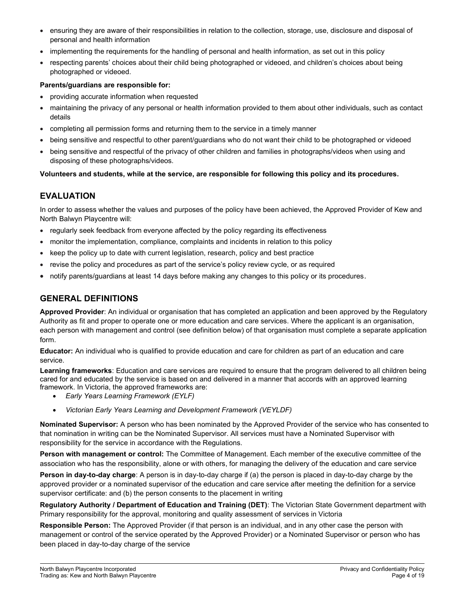- ensuring they are aware of their responsibilities in relation to the collection, storage, use, disclosure and disposal of personal and health information
- implementing the requirements for the handling of personal and health information, as set out in this policy
- respecting parents' choices about their child being photographed or videoed, and children's choices about being photographed or videoed.

# Parents/guardians are responsible for:

- providing accurate information when requested
- maintaining the privacy of any personal or health information provided to them about other individuals, such as contact details
- completing all permission forms and returning them to the service in a timely manner
- being sensitive and respectful to other parent/guardians who do not want their child to be photographed or videoed
- being sensitive and respectful of the privacy of other children and families in photographs/videos when using and disposing of these photographs/videos.

# Volunteers and students, while at the service, are responsible for following this policy and its procedures.

# EVALUATION

In order to assess whether the values and purposes of the policy have been achieved, the Approved Provider of Kew and North Balwyn Playcentre will:

- regularly seek feedback from everyone affected by the policy regarding its effectiveness
- monitor the implementation, compliance, complaints and incidents in relation to this policy
- $\bullet$  keep the policy up to date with current legislation, research, policy and best practice
- revise the policy and procedures as part of the service's policy review cycle, or as required
- notify parents/guardians at least 14 days before making any changes to this policy or its procedures.

# GENERAL DEFINITIONS

Approved Provider: An individual or organisation that has completed an application and been approved by the Regulatory Authority as fit and proper to operate one or more education and care services. Where the applicant is an organisation, each person with management and control (see definition below) of that organisation must complete a separate application form.

Educator: An individual who is qualified to provide education and care for children as part of an education and care service.

Learning frameworks: Education and care services are required to ensure that the program delivered to all children being cared for and educated by the service is based on and delivered in a manner that accords with an approved learning framework. In Victoria, the approved frameworks are:

- Early Years Learning Framework (EYLF)
- Victorian Early Years Learning and Development Framework (VEYLDF)

Nominated Supervisor: A person who has been nominated by the Approved Provider of the service who has consented to that nomination in writing can be the Nominated Supervisor. All services must have a Nominated Supervisor with responsibility for the service in accordance with the Regulations.

Person with management or control: The Committee of Management. Each member of the executive committee of the association who has the responsibility, alone or with others, for managing the delivery of the education and care service

Person in day-to-day charge: A person is in day-to-day charge if (a) the person is placed in day-to-day charge by the approved provider or a nominated supervisor of the education and care service after meeting the definition for a service supervisor certificate: and (b) the person consents to the placement in writing

Regulatory Authority / Department of Education and Training (DET): The Victorian State Government department with Primary responsibility for the approval, monitoring and quality assessment of services in Victoria

Responsible Person: The Approved Provider (if that person is an individual, and in any other case the person with management or control of the service operated by the Approved Provider) or a Nominated Supervisor or person who has been placed in day-to-day charge of the service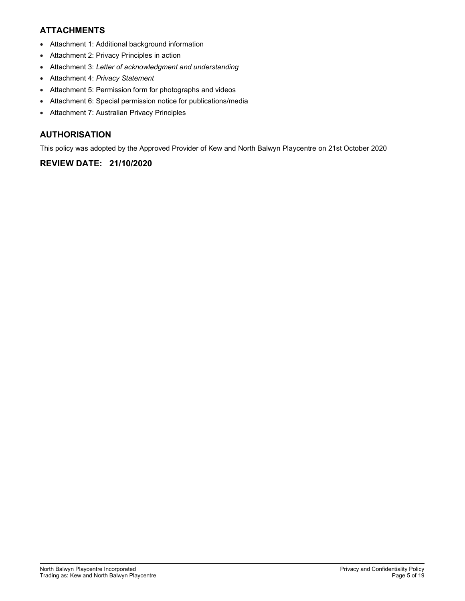# ATTACHMENTS

- Attachment 1: Additional background information
- Attachment 2: Privacy Principles in action
- Attachment 3: Letter of acknowledgment and understanding
- Attachment 4: Privacy Statement
- Attachment 5: Permission form for photographs and videos
- Attachment 6: Special permission notice for publications/media
- Attachment 7: Australian Privacy Principles

# AUTHORISATION

This policy was adopted by the Approved Provider of Kew and North Balwyn Playcentre on 21st October 2020

# REVIEW DATE: 21/10/2020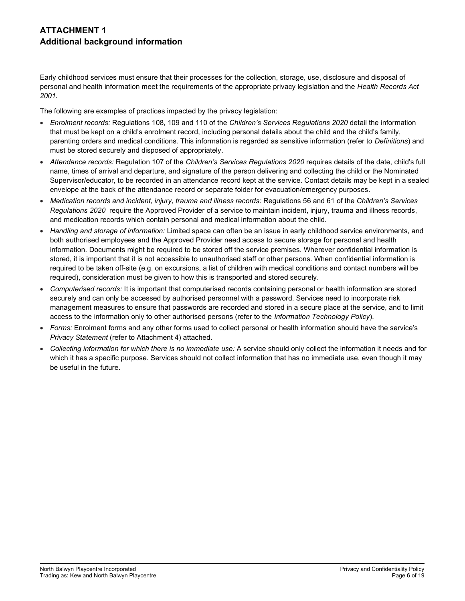# ATTACHMENT 1 Additional background information

Early childhood services must ensure that their processes for the collection, storage, use, disclosure and disposal of personal and health information meet the requirements of the appropriate privacy legislation and the Health Records Act 2001.

The following are examples of practices impacted by the privacy legislation:

- Enrolment records: Regulations 108, 109 and 110 of the Children's Services Regulations 2020 detail the information that must be kept on a child's enrolment record, including personal details about the child and the child's family, parenting orders and medical conditions. This information is regarded as sensitive information (refer to Definitions) and must be stored securely and disposed of appropriately.
- Attendance records: Regulation 107 of the Children's Services Regulations 2020 requires details of the date, child's full name, times of arrival and departure, and signature of the person delivering and collecting the child or the Nominated Supervisor/educator, to be recorded in an attendance record kept at the service. Contact details may be kept in a sealed envelope at the back of the attendance record or separate folder for evacuation/emergency purposes.
- Medication records and incident, injury, trauma and illness records: Regulations 56 and 61 of the Children's Services Regulations 2020 require the Approved Provider of a service to maintain incident, injury, trauma and illness records, and medication records which contain personal and medical information about the child.
- Handling and storage of information: Limited space can often be an issue in early childhood service environments, and both authorised employees and the Approved Provider need access to secure storage for personal and health information. Documents might be required to be stored off the service premises. Wherever confidential information is stored, it is important that it is not accessible to unauthorised staff or other persons. When confidential information is required to be taken off-site (e.g. on excursions, a list of children with medical conditions and contact numbers will be required), consideration must be given to how this is transported and stored securely.
- Computerised records: It is important that computerised records containing personal or health information are stored securely and can only be accessed by authorised personnel with a password. Services need to incorporate risk management measures to ensure that passwords are recorded and stored in a secure place at the service, and to limit access to the information only to other authorised persons (refer to the Information Technology Policy).
- Forms: Enrolment forms and any other forms used to collect personal or health information should have the service's Privacy Statement (refer to Attachment 4) attached.
- Collecting information for which there is no immediate use: A service should only collect the information it needs and for which it has a specific purpose. Services should not collect information that has no immediate use, even though it may be useful in the future.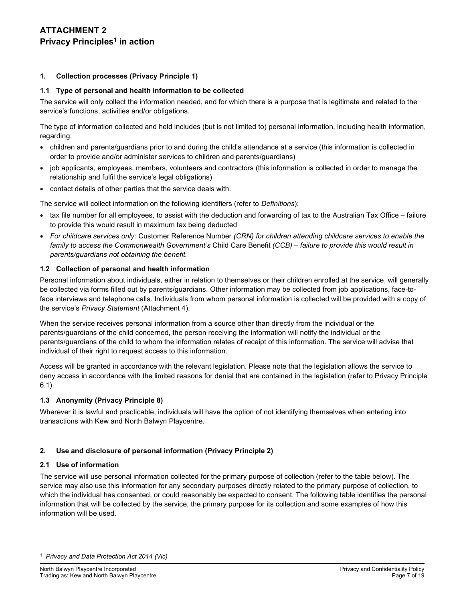# ATTACHMENT 2 Privacy Principles<sup>1</sup> in action

# 1. Collection processes (Privacy Principle 1)

# 1.1 Type of personal and health information to be collected

The service will only collect the information needed, and for which there is a purpose that is legitimate and related to the service's functions, activities and/or obligations.

The type of information collected and held includes (but is not limited to) personal information, including health information, regarding:

- children and parents/guardians prior to and during the child's attendance at a service (this information is collected in order to provide and/or administer services to children and parents/guardians)
- job applicants, employees, members, volunteers and contractors (this information is collected in order to manage the relationship and fulfil the service's legal obligations)
- contact details of other parties that the service deals with.

The service will collect information on the following identifiers (refer to Definitions):

- tax file number for all employees, to assist with the deduction and forwarding of tax to the Australian Tax Office failure to provide this would result in maximum tax being deducted
- For childcare services only: Customer Reference Number (CRN) for children attending childcare services to enable the family to access the Commonwealth Government's Child Care Benefit (CCB) – failure to provide this would result in parents/guardians not obtaining the benefit.

# 1.2 Collection of personal and health information

Personal information about individuals, either in relation to themselves or their children enrolled at the service, will generally be collected via forms filled out by parents/guardians. Other information may be collected from job applications, face-toface interviews and telephone calls. Individuals from whom personal information is collected will be provided with a copy of the service's Privacy Statement (Attachment 4).

When the service receives personal information from a source other than directly from the individual or the parents/guardians of the child concerned, the person receiving the information will notify the individual or the parents/guardians of the child to whom the information relates of receipt of this information. The service will advise that individual of their right to request access to this information.

Access will be granted in accordance with the relevant legislation. Please note that the legislation allows the service to deny access in accordance with the limited reasons for denial that are contained in the legislation (refer to Privacy Principle 6.1).

# 1.3 Anonymity (Privacy Principle 8)

Wherever it is lawful and practicable, individuals will have the option of not identifying themselves when entering into transactions with Kew and North Balwyn Playcentre.

# 2. Use and disclosure of personal information (Privacy Principle 2)

## 2.1 Use of information

The service will use personal information collected for the primary purpose of collection (refer to the table below). The service may also use this information for any secondary purposes directly related to the primary purpose of collection, to which the individual has consented, or could reasonably be expected to consent. The following table identifies the personal information that will be collected by the service, the primary purpose for its collection and some examples of how this information will be used.

<sup>&</sup>lt;sup>1</sup> Privacy and Data Protection Act 2014 (Vic)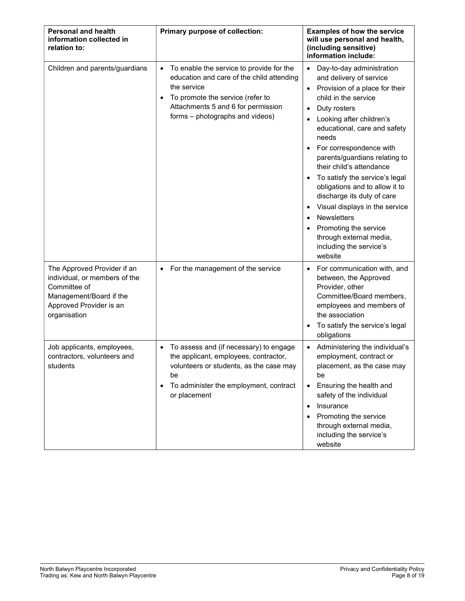| <b>Personal and health</b><br>information collected in<br>relation to:                                                                             | Primary purpose of collection:                                                                                                                                                                                                              | <b>Examples of how the service</b><br>will use personal and health,<br>(including sensitive)<br>information include:                                                                                                                                                                                                                                                                                                                                                                                                                                                                                                        |
|----------------------------------------------------------------------------------------------------------------------------------------------------|---------------------------------------------------------------------------------------------------------------------------------------------------------------------------------------------------------------------------------------------|-----------------------------------------------------------------------------------------------------------------------------------------------------------------------------------------------------------------------------------------------------------------------------------------------------------------------------------------------------------------------------------------------------------------------------------------------------------------------------------------------------------------------------------------------------------------------------------------------------------------------------|
| Children and parents/guardians                                                                                                                     | To enable the service to provide for the<br>$\bullet$<br>education and care of the child attending<br>the service<br>To promote the service (refer to<br>$\bullet$<br>Attachments 5 and 6 for permission<br>forms - photographs and videos) | Day-to-day administration<br>$\bullet$<br>and delivery of service<br>Provision of a place for their<br>$\bullet$<br>child in the service<br>Duty rosters<br>$\bullet$<br>Looking after children's<br>educational, care and safety<br>needs<br>For correspondence with<br>$\bullet$<br>parents/guardians relating to<br>their child's attendance<br>To satisfy the service's legal<br>$\bullet$<br>obligations and to allow it to<br>discharge its duty of care<br>Visual displays in the service<br>٠<br>Newsletters<br>$\bullet$<br>Promoting the service<br>through external media,<br>including the service's<br>website |
| The Approved Provider if an<br>individual, or members of the<br>Committee of<br>Management/Board if the<br>Approved Provider is an<br>organisation | For the management of the service<br>$\bullet$                                                                                                                                                                                              | For communication with, and<br>$\bullet$<br>between, the Approved<br>Provider, other<br>Committee/Board members,<br>employees and members of<br>the association<br>To satisfy the service's legal<br>$\bullet$<br>obligations                                                                                                                                                                                                                                                                                                                                                                                               |
| Job applicants, employees,<br>contractors, volunteers and<br>students                                                                              | To assess and (if necessary) to engage<br>the applicant, employees, contractor,<br>volunteers or students, as the case may<br>be<br>To administer the employment, contract<br>or placement                                                  | Administering the individual's<br>employment, contract or<br>placement, as the case may<br>be<br>Ensuring the health and<br>$\bullet$<br>safety of the individual<br>Insurance<br>$\bullet$<br>Promoting the service<br>through external media,<br>including the service's<br>website                                                                                                                                                                                                                                                                                                                                       |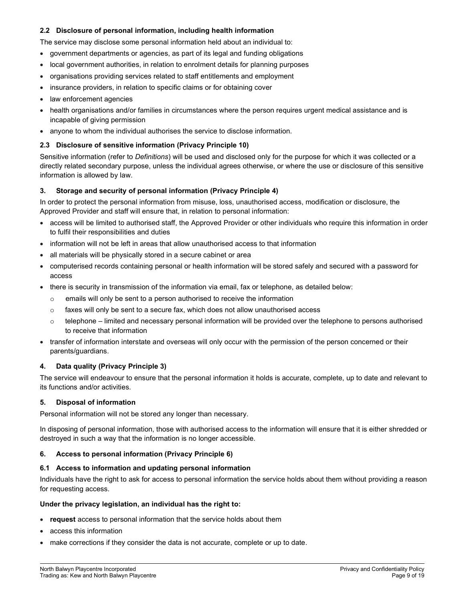# 2.2 Disclosure of personal information, including health information

The service may disclose some personal information held about an individual to:

- government departments or agencies, as part of its legal and funding obligations
- local government authorities, in relation to enrolment details for planning purposes
- organisations providing services related to staff entitlements and employment
- insurance providers, in relation to specific claims or for obtaining cover
- law enforcement agencies
- health organisations and/or families in circumstances where the person requires urgent medical assistance and is incapable of giving permission
- anyone to whom the individual authorises the service to disclose information.

#### 2.3 Disclosure of sensitive information (Privacy Principle 10)

Sensitive information (refer to Definitions) will be used and disclosed only for the purpose for which it was collected or a directly related secondary purpose, unless the individual agrees otherwise, or where the use or disclosure of this sensitive information is allowed by law.

## 3. Storage and security of personal information (Privacy Principle 4)

In order to protect the personal information from misuse, loss, unauthorised access, modification or disclosure, the Approved Provider and staff will ensure that, in relation to personal information:

- access will be limited to authorised staff, the Approved Provider or other individuals who require this information in order to fulfil their responsibilities and duties
- information will not be left in areas that allow unauthorised access to that information
- all materials will be physically stored in a secure cabinet or area
- computerised records containing personal or health information will be stored safely and secured with a password for access
- there is security in transmission of the information via email, fax or telephone, as detailed below:
	- o emails will only be sent to a person authorised to receive the information
	- $\circ$  faxes will only be sent to a secure fax, which does not allow unauthorised access
	- $\circ$  telephone limited and necessary personal information will be provided over the telephone to persons authorised to receive that information
- transfer of information interstate and overseas will only occur with the permission of the person concerned or their parents/guardians.

## 4. Data quality (Privacy Principle 3)

The service will endeavour to ensure that the personal information it holds is accurate, complete, up to date and relevant to its functions and/or activities.

## 5. Disposal of information

Personal information will not be stored any longer than necessary.

In disposing of personal information, those with authorised access to the information will ensure that it is either shredded or destroyed in such a way that the information is no longer accessible.

## 6. Access to personal information (Privacy Principle 6)

## 6.1 Access to information and updating personal information

Individuals have the right to ask for access to personal information the service holds about them without providing a reason for requesting access.

#### Under the privacy legislation, an individual has the right to:

- request access to personal information that the service holds about them
- access this information
- make corrections if they consider the data is not accurate, complete or up to date.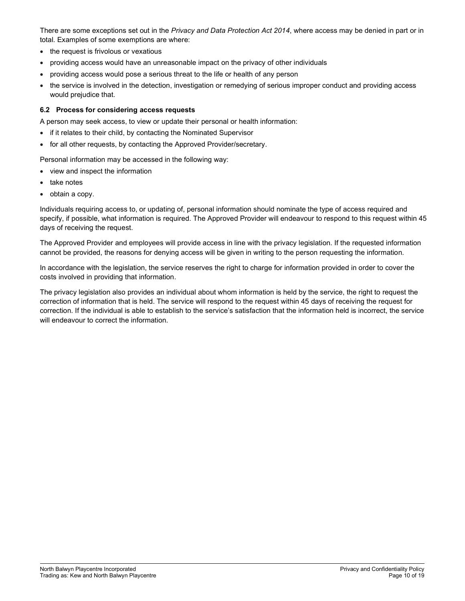There are some exceptions set out in the Privacy and Data Protection Act 2014, where access may be denied in part or in total. Examples of some exemptions are where:

- the request is frivolous or vexatious
- providing access would have an unreasonable impact on the privacy of other individuals
- providing access would pose a serious threat to the life or health of any person
- the service is involved in the detection, investigation or remedying of serious improper conduct and providing access would prejudice that.

# 6.2 Process for considering access requests

A person may seek access, to view or update their personal or health information:

- if it relates to their child, by contacting the Nominated Supervisor
- for all other requests, by contacting the Approved Provider/secretary.

Personal information may be accessed in the following way:

- view and inspect the information
- take notes
- obtain a copy.

Individuals requiring access to, or updating of, personal information should nominate the type of access required and specify, if possible, what information is required. The Approved Provider will endeavour to respond to this request within 45 days of receiving the request.

The Approved Provider and employees will provide access in line with the privacy legislation. If the requested information cannot be provided, the reasons for denying access will be given in writing to the person requesting the information.

In accordance with the legislation, the service reserves the right to charge for information provided in order to cover the costs involved in providing that information.

The privacy legislation also provides an individual about whom information is held by the service, the right to request the correction of information that is held. The service will respond to the request within 45 days of receiving the request for correction. If the individual is able to establish to the service's satisfaction that the information held is incorrect, the service will endeavour to correct the information.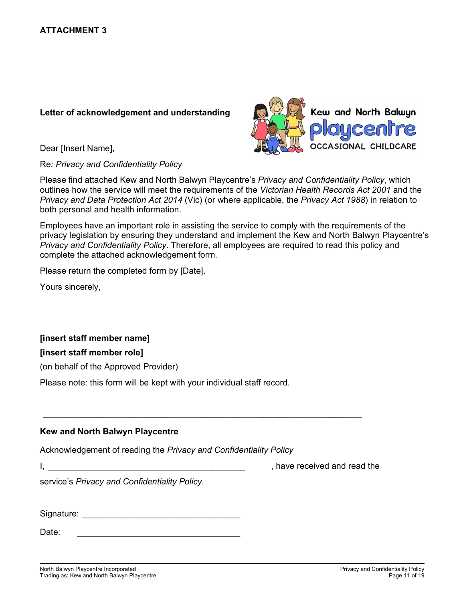# Letter of acknowledgement and understanding

Dear [Insert Name],

Re: Privacy and Confidentiality Policy



Please find attached Kew and North Balwyn Playcentre's Privacy and Confidentiality Policy, which outlines how the service will meet the requirements of the Victorian Health Records Act 2001 and the Privacy and Data Protection Act 2014 (Vic) (or where applicable, the Privacy Act 1988) in relation to both personal and health information.

Employees have an important role in assisting the service to comply with the requirements of the privacy legislation by ensuring they understand and implement the Kew and North Balwyn Playcentre's Privacy and Confidentiality Policy. Therefore, all employees are required to read this policy and complete the attached acknowledgement form.

Please return the completed form by [Date].

Yours sincerely,

# [insert staff member name]

# [insert staff member role]

(on behalf of the Approved Provider)

Please note: this form will be kept with your individual staff record.

# Kew and North Balwyn Playcentre

Acknowledgement of reading the Privacy and Confidentiality Policy

\_\_\_\_\_\_\_\_\_\_\_\_\_\_\_\_\_\_\_\_\_\_\_\_\_\_\_\_\_\_\_\_\_\_\_\_\_\_\_\_\_\_\_\_\_\_\_\_\_\_\_\_\_\_\_\_\_\_\_\_\_\_\_\_\_\_\_\_\_\_\_\_\_\_\_\_\_\_\_\_\_

I, the contract of the contract of the contract of the contract of the contract of the contract of the contract of the contract of the contract of the contract of the contract of the contract of the contract of the contrac

service's Privacy and Confidentiality Policy. Signature: \_\_\_\_\_\_\_\_\_\_\_\_\_\_\_\_\_\_\_\_\_\_\_\_\_\_\_\_\_\_\_\_\_

Date: \_\_\_\_\_\_\_\_\_\_\_\_\_\_\_\_\_\_\_\_\_\_\_\_\_\_\_\_\_\_\_\_\_\_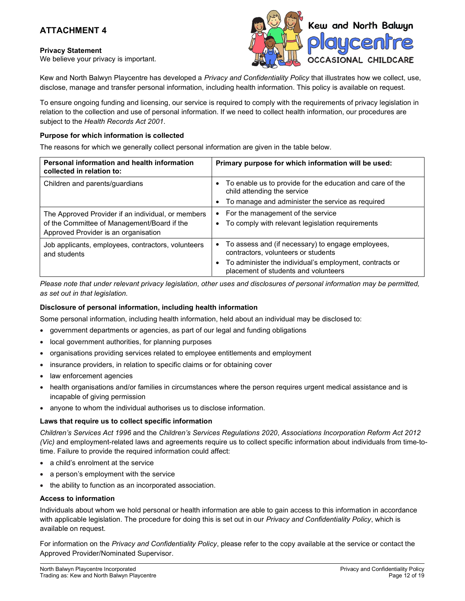# ATTACHMENT 4

# Privacy Statement

We believe your privacy is important.



Kew and North Balwyn Playcentre has developed a Privacy and Confidentiality Policy that illustrates how we collect, use, disclose, manage and transfer personal information, including health information. This policy is available on request.

To ensure ongoing funding and licensing, our service is required to comply with the requirements of privacy legislation in relation to the collection and use of personal information. If we need to collect health information, our procedures are subject to the Health Records Act 2001.

# Purpose for which information is collected

The reasons for which we generally collect personal information are given in the table below.

| Personal information and health information<br>collected in relation to:                                                                  | Primary purpose for which information will be used:                                                     |
|-------------------------------------------------------------------------------------------------------------------------------------------|---------------------------------------------------------------------------------------------------------|
| Children and parents/guardians                                                                                                            | To enable us to provide for the education and care of the<br>child attending the service                |
|                                                                                                                                           | To manage and administer the service as required                                                        |
| The Approved Provider if an individual, or members<br>of the Committee of Management/Board if the<br>Approved Provider is an organisation | For the management of the service<br>٠<br>To comply with relevant legislation requirements<br>$\bullet$ |
| Job applicants, employees, contractors, volunteers<br>and students                                                                        | To assess and (if necessary) to engage employees,<br>contractors, volunteers or students                |
|                                                                                                                                           | To administer the individual's employment, contracts or<br>placement of students and volunteers         |

Please note that under relevant privacy legislation, other uses and disclosures of personal information may be permitted, as set out in that legislation.

## Disclosure of personal information, including health information

Some personal information, including health information, held about an individual may be disclosed to:

- government departments or agencies, as part of our legal and funding obligations
- local government authorities, for planning purposes
- organisations providing services related to employee entitlements and employment
- insurance providers, in relation to specific claims or for obtaining cover
- law enforcement agencies
- health organisations and/or families in circumstances where the person requires urgent medical assistance and is incapable of giving permission
- anyone to whom the individual authorises us to disclose information.

## Laws that require us to collect specific information

Children's Services Act 1996 and the Children's Services Regulations 2020, Associations Incorporation Reform Act 2012 (Vic) and employment-related laws and agreements require us to collect specific information about individuals from time-totime. Failure to provide the required information could affect:

- a child's enrolment at the service
- a person's employment with the service
- the ability to function as an incorporated association.

## Access to information

Individuals about whom we hold personal or health information are able to gain access to this information in accordance with applicable legislation. The procedure for doing this is set out in our Privacy and Confidentiality Policy, which is available on request.

For information on the Privacy and Confidentiality Policy, please refer to the copy available at the service or contact the Approved Provider/Nominated Supervisor.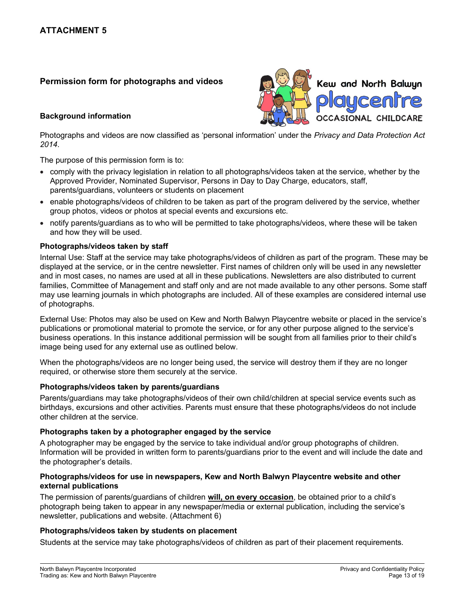# Permission form for photographs and videos

# Background information



Photographs and videos are now classified as 'personal information' under the Privacy and Data Protection Act 2014.

The purpose of this permission form is to:

- comply with the privacy legislation in relation to all photographs/videos taken at the service, whether by the Approved Provider, Nominated Supervisor, Persons in Day to Day Charge, educators, staff, parents/guardians, volunteers or students on placement
- enable photographs/videos of children to be taken as part of the program delivered by the service, whether group photos, videos or photos at special events and excursions etc.
- notify parents/guardians as to who will be permitted to take photographs/videos, where these will be taken and how they will be used.

# Photographs/videos taken by staff

Internal Use: Staff at the service may take photographs/videos of children as part of the program. These may be displayed at the service, or in the centre newsletter. First names of children only will be used in any newsletter and in most cases, no names are used at all in these publications. Newsletters are also distributed to current families, Committee of Management and staff only and are not made available to any other persons. Some staff may use learning journals in which photographs are included. All of these examples are considered internal use of photographs.

External Use: Photos may also be used on Kew and North Balwyn Playcentre website or placed in the service's publications or promotional material to promote the service, or for any other purpose aligned to the service's business operations. In this instance additional permission will be sought from all families prior to their child's image being used for any external use as outlined below.

When the photographs/videos are no longer being used, the service will destroy them if they are no longer required, or otherwise store them securely at the service.

# Photographs/videos taken by parents/guardians

Parents/guardians may take photographs/videos of their own child/children at special service events such as birthdays, excursions and other activities. Parents must ensure that these photographs/videos do not include other children at the service.

# Photographs taken by a photographer engaged by the service

A photographer may be engaged by the service to take individual and/or group photographs of children. Information will be provided in written form to parents/guardians prior to the event and will include the date and the photographer's details.

# Photographs/videos for use in newspapers, Kew and North Balwyn Playcentre website and other external publications

The permission of parents/guardians of children will, on every occasion, be obtained prior to a child's photograph being taken to appear in any newspaper/media or external publication, including the service's newsletter, publications and website. (Attachment 6)

# Photographs/videos taken by students on placement

Students at the service may take photographs/videos of children as part of their placement requirements.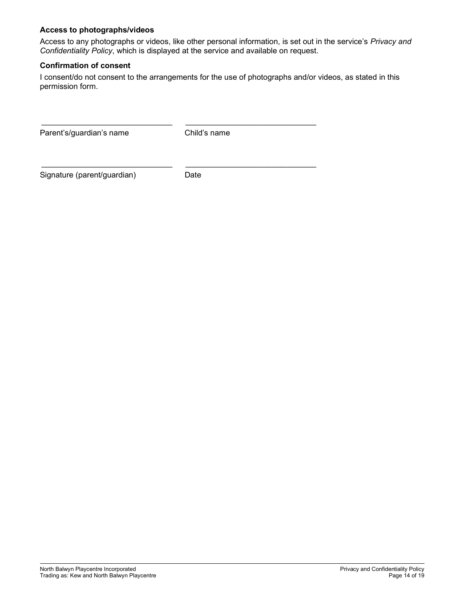# Access to photographs/videos

Access to any photographs or videos, like other personal information, is set out in the service's Privacy and Confidentiality Policy, which is displayed at the service and available on request.

# Confirmation of consent

I consent/do not consent to the arrangements for the use of photographs and/or videos, as stated in this permission form.

Parent's/guardian's name Child's name

Signature (parent/guardian) Date

 $\frac{1}{2}$  ,  $\frac{1}{2}$  ,  $\frac{1}{2}$  ,  $\frac{1}{2}$  ,  $\frac{1}{2}$  ,  $\frac{1}{2}$  ,  $\frac{1}{2}$  ,  $\frac{1}{2}$  ,  $\frac{1}{2}$  ,  $\frac{1}{2}$  ,  $\frac{1}{2}$  ,  $\frac{1}{2}$  ,  $\frac{1}{2}$  ,  $\frac{1}{2}$  ,  $\frac{1}{2}$  ,  $\frac{1}{2}$  ,  $\frac{1}{2}$  ,  $\frac{1}{2}$  ,  $\frac{1$ 

 $\frac{1}{2}$  ,  $\frac{1}{2}$  ,  $\frac{1}{2}$  ,  $\frac{1}{2}$  ,  $\frac{1}{2}$  ,  $\frac{1}{2}$  ,  $\frac{1}{2}$  ,  $\frac{1}{2}$  ,  $\frac{1}{2}$  ,  $\frac{1}{2}$  ,  $\frac{1}{2}$  ,  $\frac{1}{2}$  ,  $\frac{1}{2}$  ,  $\frac{1}{2}$  ,  $\frac{1}{2}$  ,  $\frac{1}{2}$  ,  $\frac{1}{2}$  ,  $\frac{1}{2}$  ,  $\frac{1$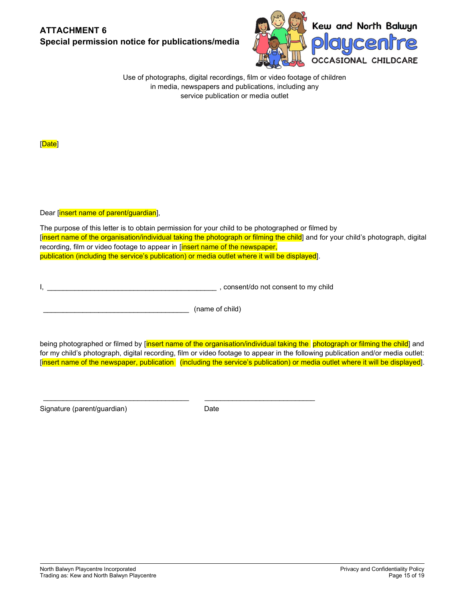# ATTACHMENT 6 Special permission notice for publications/media



Use of photographs, digital recordings, film or video footage of children in media, newspapers and publications, including any service publication or media outlet

[Date]

Dear [insert name of parent/guardian],

The purpose of this letter is to obtain permission for your child to be photographed or filmed by [insert name of the organisation/individual taking the photograph or filming the child] and for your child's photograph, digital recording, film or video footage to appear in [insert name of the newspaper, publication (including the service's publication) or media outlet where it will be displayed].

I, \_\_\_\_\_\_\_\_\_\_\_\_\_\_\_\_\_\_\_\_\_\_\_\_\_\_\_\_\_\_\_\_\_\_\_\_\_\_\_\_\_\_\_ , consent/do not consent to my child

\_\_\_\_\_\_\_\_\_\_\_\_\_\_\_\_\_\_\_\_\_\_\_\_\_\_\_\_\_\_\_\_\_\_\_\_\_ \_\_\_\_\_\_\_\_\_\_\_\_\_\_\_\_\_\_\_\_\_\_\_\_\_\_\_\_

\_\_\_\_\_\_\_\_\_\_\_\_\_\_\_\_\_\_\_\_\_\_\_\_\_\_\_\_\_\_\_\_\_\_\_\_\_ (name of child)

being photographed or filmed by [insert name of the organisation/individual taking the photograph or filming the child] and for my child's photograph, digital recording, film or video footage to appear in the following publication and/or media outlet: [insert name of the newspaper, publication (including the service's publication) or media outlet where it will be displayed].

Signature (parent/guardian) and the Date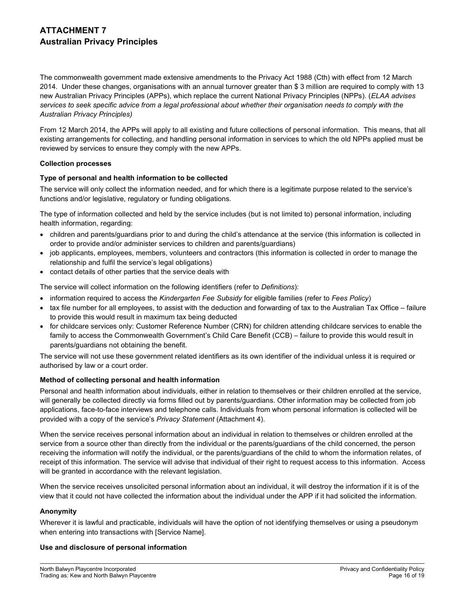# ATTACHMENT 7 Australian Privacy Principles

The commonwealth government made extensive amendments to the Privacy Act 1988 (Cth) with effect from 12 March 2014. Under these changes, organisations with an annual turnover greater than \$ 3 million are required to comply with 13 new Australian Privacy Principles (APPs), which replace the current National Privacy Principles (NPPs). (ELAA advises services to seek specific advice from a legal professional about whether their organisation needs to comply with the Australian Privacy Principles)

From 12 March 2014, the APPs will apply to all existing and future collections of personal information. This means, that all existing arrangements for collecting, and handling personal information in services to which the old NPPs applied must be reviewed by services to ensure they comply with the new APPs.

## Collection processes

# Type of personal and health information to be collected

The service will only collect the information needed, and for which there is a legitimate purpose related to the service's functions and/or legislative, regulatory or funding obligations.

The type of information collected and held by the service includes (but is not limited to) personal information, including health information, regarding:

- children and parents/guardians prior to and during the child's attendance at the service (this information is collected in order to provide and/or administer services to children and parents/guardians)
- job applicants, employees, members, volunteers and contractors (this information is collected in order to manage the relationship and fulfil the service's legal obligations)
- contact details of other parties that the service deals with

The service will collect information on the following identifiers (refer to Definitions):

- information required to access the Kindergarten Fee Subsidy for eligible families (refer to Fees Policy)
- tax file number for all employees, to assist with the deduction and forwarding of tax to the Australian Tax Office failure to provide this would result in maximum tax being deducted
- for childcare services only: Customer Reference Number (CRN) for children attending childcare services to enable the family to access the Commonwealth Government's Child Care Benefit (CCB) – failure to provide this would result in parents/guardians not obtaining the benefit.

The service will not use these government related identifiers as its own identifier of the individual unless it is required or authorised by law or a court order.

# Method of collecting personal and health information

Personal and health information about individuals, either in relation to themselves or their children enrolled at the service, will generally be collected directly via forms filled out by parents/guardians. Other information may be collected from job applications, face-to-face interviews and telephone calls. Individuals from whom personal information is collected will be provided with a copy of the service's Privacy Statement (Attachment 4).

When the service receives personal information about an individual in relation to themselves or children enrolled at the service from a source other than directly from the individual or the parents/guardians of the child concerned, the person receiving the information will notify the individual, or the parents/guardians of the child to whom the information relates, of receipt of this information. The service will advise that individual of their right to request access to this information. Access will be granted in accordance with the relevant legislation.

When the service receives unsolicited personal information about an individual, it will destroy the information if it is of the view that it could not have collected the information about the individual under the APP if it had solicited the information.

## Anonymity

Wherever it is lawful and practicable, individuals will have the option of not identifying themselves or using a pseudonym when entering into transactions with [Service Name].

## Use and disclosure of personal information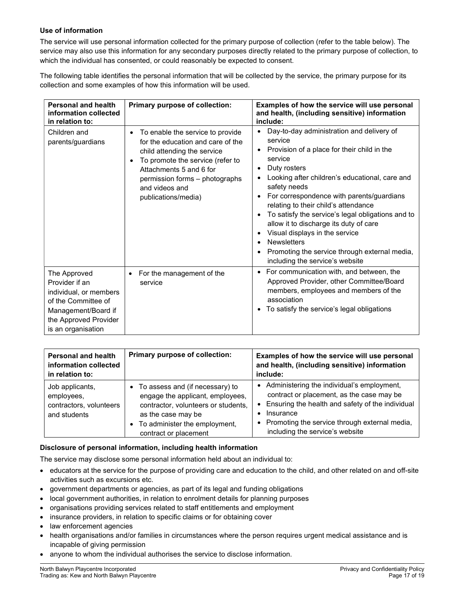# Use of information

The service will use personal information collected for the primary purpose of collection (refer to the table below). The service may also use this information for any secondary purposes directly related to the primary purpose of collection, to which the individual has consented, or could reasonably be expected to consent.

The following table identifies the personal information that will be collected by the service, the primary purpose for its collection and some examples of how this information will be used.

| <b>Personal and health</b><br>information collected<br>in relation to:                                                                                | Primary purpose of collection:                                                                                                                                                                                                                                           | Examples of how the service will use personal<br>and health, (including sensitive) information<br>include:                                                                                                                                                                                                                                                                                                                                                                                                                            |
|-------------------------------------------------------------------------------------------------------------------------------------------------------|--------------------------------------------------------------------------------------------------------------------------------------------------------------------------------------------------------------------------------------------------------------------------|---------------------------------------------------------------------------------------------------------------------------------------------------------------------------------------------------------------------------------------------------------------------------------------------------------------------------------------------------------------------------------------------------------------------------------------------------------------------------------------------------------------------------------------|
| Children and<br>parents/guardians                                                                                                                     | To enable the service to provide<br>$\bullet$<br>for the education and care of the<br>child attending the service<br>To promote the service (refer to<br>$\bullet$<br>Attachments 5 and 6 for<br>permission forms - photographs<br>and videos and<br>publications/media) | Day-to-day administration and delivery of<br>service<br>Provision of a place for their child in the<br>٠<br>service<br>Duty rosters<br>Looking after children's educational, care and<br>safety needs<br>For correspondence with parents/guardians<br>relating to their child's attendance<br>To satisfy the service's legal obligations and to<br>allow it to discharge its duty of care<br>Visual displays in the service<br><b>Newsletters</b><br>Promoting the service through external media,<br>including the service's website |
| The Approved<br>Provider if an<br>individual, or members<br>of the Committee of<br>Management/Board if<br>the Approved Provider<br>is an organisation | For the management of the<br>service                                                                                                                                                                                                                                     | • For communication with, and between, the<br>Approved Provider, other Committee/Board<br>members, employees and members of the<br>association<br>To satisfy the service's legal obligations                                                                                                                                                                                                                                                                                                                                          |

| <b>Personal and health</b><br>information collected<br>in relation to:   | Primary purpose of collection:                                                                                                                                                                 | Examples of how the service will use personal<br>and health, (including sensitive) information<br>include:                                                                                                                                         |
|--------------------------------------------------------------------------|------------------------------------------------------------------------------------------------------------------------------------------------------------------------------------------------|----------------------------------------------------------------------------------------------------------------------------------------------------------------------------------------------------------------------------------------------------|
| Job applicants,<br>employees,<br>contractors, volunteers<br>and students | • To assess and (if necessary) to<br>engage the applicant, employees,<br>contractor, volunteers or students,<br>as the case may be<br>• To administer the employment,<br>contract or placement | • Administering the individual's employment,<br>contract or placement, as the case may be<br>• Ensuring the health and safety of the individual<br>Insurance<br>• Promoting the service through external media,<br>including the service's website |

## Disclosure of personal information, including health information

The service may disclose some personal information held about an individual to:

- educators at the service for the purpose of providing care and education to the child, and other related on and off-site activities such as excursions etc.
- government departments or agencies, as part of its legal and funding obligations
- local government authorities, in relation to enrolment details for planning purposes
- organisations providing services related to staff entitlements and employment
- insurance providers, in relation to specific claims or for obtaining cover
- law enforcement agencies
- health organisations and/or families in circumstances where the person requires urgent medical assistance and is incapable of giving permission
- anyone to whom the individual authorises the service to disclose information.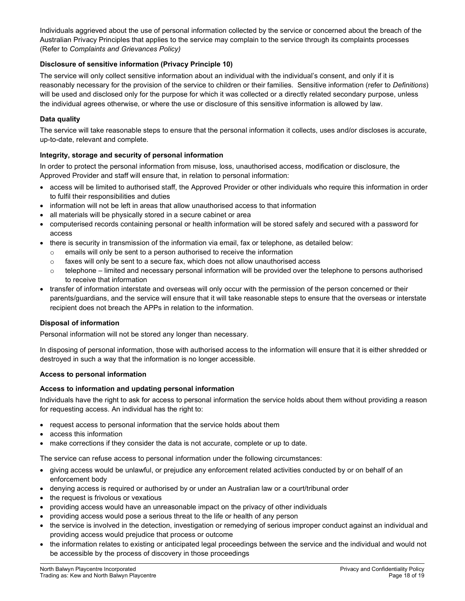Individuals aggrieved about the use of personal information collected by the service or concerned about the breach of the Australian Privacy Principles that applies to the service may complain to the service through its complaints processes (Refer to Complaints and Grievances Policy)

# Disclosure of sensitive information (Privacy Principle 10)

The service will only collect sensitive information about an individual with the individual's consent, and only if it is reasonably necessary for the provision of the service to children or their families. Sensitive information (refer to Definitions) will be used and disclosed only for the purpose for which it was collected or a directly related secondary purpose, unless the individual agrees otherwise, or where the use or disclosure of this sensitive information is allowed by law.

# Data quality

The service will take reasonable steps to ensure that the personal information it collects, uses and/or discloses is accurate, up-to-date, relevant and complete.

# Integrity, storage and security of personal information

In order to protect the personal information from misuse, loss, unauthorised access, modification or disclosure, the Approved Provider and staff will ensure that, in relation to personal information:

- access will be limited to authorised staff, the Approved Provider or other individuals who require this information in order to fulfil their responsibilities and duties
- information will not be left in areas that allow unauthorised access to that information
- all materials will be physically stored in a secure cabinet or area
- computerised records containing personal or health information will be stored safely and secured with a password for access
- there is security in transmission of the information via email, fax or telephone, as detailed below:
	- emails will only be sent to a person authorised to receive the information
	- $\circ$  faxes will only be sent to a secure fax, which does not allow unauthorised access
	- $\circ$  telephone limited and necessary personal information will be provided over the telephone to persons authorised to receive that information
- transfer of information interstate and overseas will only occur with the permission of the person concerned or their parents/guardians, and the service will ensure that it will take reasonable steps to ensure that the overseas or interstate recipient does not breach the APPs in relation to the information.

## Disposal of information

Personal information will not be stored any longer than necessary.

In disposing of personal information, those with authorised access to the information will ensure that it is either shredded or destroyed in such a way that the information is no longer accessible.

## Access to personal information

## Access to information and updating personal information

Individuals have the right to ask for access to personal information the service holds about them without providing a reason for requesting access. An individual has the right to:

- request access to personal information that the service holds about them
- access this information
- make corrections if they consider the data is not accurate, complete or up to date.

The service can refuse access to personal information under the following circumstances:

- giving access would be unlawful, or prejudice any enforcement related activities conducted by or on behalf of an enforcement body
- denying access is required or authorised by or under an Australian law or a court/tribunal order
- the request is frivolous or vexatious
- providing access would have an unreasonable impact on the privacy of other individuals
- providing access would pose a serious threat to the life or health of any person
- the service is involved in the detection, investigation or remedying of serious improper conduct against an individual and providing access would prejudice that process or outcome
- the information relates to existing or anticipated legal proceedings between the service and the individual and would not be accessible by the process of discovery in those proceedings